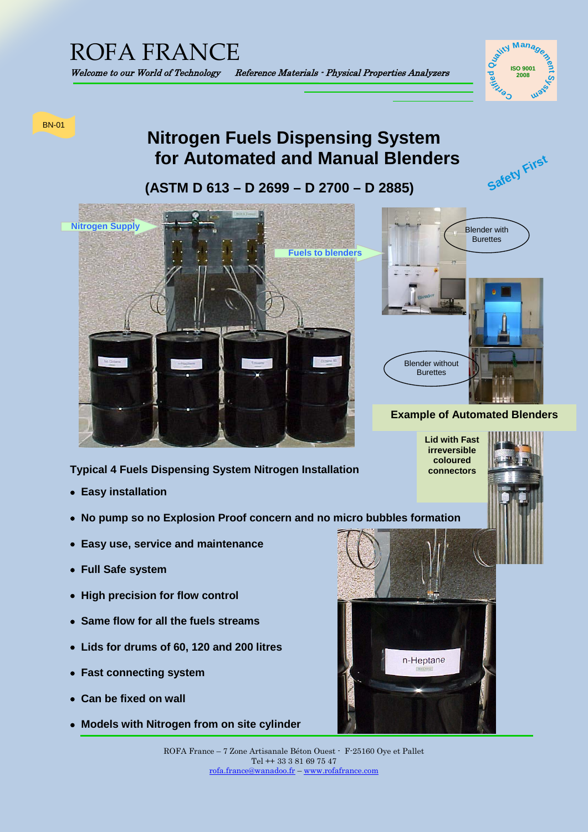

**Safety First**

# BN-01

# **Nitrogen Fuels Dispensing System for Automated and Manual Blenders**

 **(ASTM D 613 – D 2699 – D 2700 – D 2885)**



# **Typical 4 Fuels Dispensing System Nitrogen Installation**

- • **Easy installation**
- • **No pump so no Explosion Proof concern and no micro bubbles formation**
- • **Easy use, service and maintenance**
- • **Full Safe system**
- • **High precision for flow control**
- • **Same flow for all the fuels streams**
- • **Lids for drums of 60, 120 and 200 litres**
- • **Fast connecting system**
- • **Can be fixed on wall**
- • **Models with Nitrogen from on site cylinder**



ROFA France – 7 Zone Artisanale Béton Ouest - F-25160 Oye et Pallet Tel ++ 33 3 81 69 75 47 [rofa.france@wanadoo.fr](mailto:rofa.france@wanadoo.fr) – [www.rofafrance.com](http://www.rofafrance.com/)

**Blender** with **Burettes** Blender without **Burettes** 

# **Example of Automated Blenders**

**Lid with Fast irreversible coloured connectors**